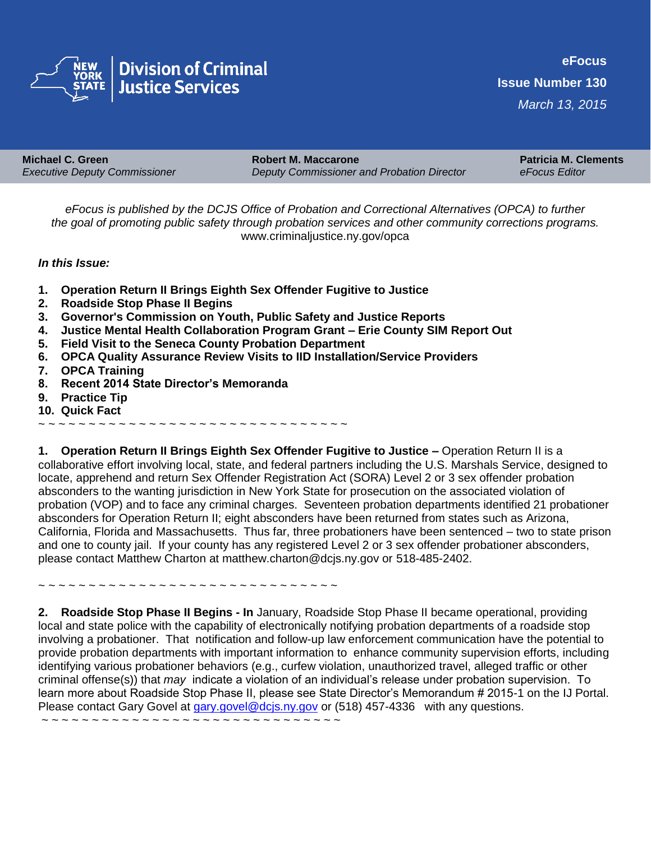

| <b>Michael C. Green</b>              | <b>Robert M. Maccarone</b>                 | <b>Patricia M. Clements</b> |
|--------------------------------------|--------------------------------------------|-----------------------------|
| <b>Executive Deputy Commissioner</b> | Deputy Commissioner and Probation Director | eFocus Editor               |

*eFocus is published by the DCJS Office of Probation and Correctional Alternatives (OPCA) to further the goal of promoting public safety through probation services and other community corrections programs.*  www.criminaljustice.ny.gov/opca

## *In this Issue:*

- **1. Operation Return II Brings Eighth Sex Offender Fugitive to Justice**
- **2. Roadside Stop Phase II Begins**
- **3. Governor's Commission on Youth, Public Safety and Justice Reports**
- **4. Justice Mental Health Collaboration Program Grant Erie County SIM Report Out**
- **5. Field Visit to the Seneca County Probation Department**
- **6. OPCA Quality Assurance Review Visits to IID Installation/Service Providers**
- **7. OPCA Training**
- **8. Recent 2014 State Director's Memoranda**
- **9. Practice Tip**
- **10. Quick Fact**
- ~ ~ ~ ~ ~ ~ ~ ~ ~ ~ ~ ~ ~ ~ ~ ~ ~ ~ ~ ~ ~ ~ ~ ~ ~ ~ ~ ~ ~ ~ ~

**1. Operation Return II Brings Eighth Sex Offender Fugitive to Justice –** Operation Return II is a collaborative effort involving local, state, and federal partners including the U.S. Marshals Service, designed to locate, apprehend and return Sex Offender Registration Act (SORA) Level 2 or 3 sex offender probation absconders to the wanting jurisdiction in New York State for prosecution on the associated violation of probation (VOP) and to face any criminal charges. Seventeen probation departments identified 21 probationer absconders for Operation Return II; eight absconders have been returned from states such as Arizona, California, Florida and Massachusetts. Thus far, three probationers have been sentenced – two to state prison and one to county jail. If your county has any registered Level 2 or 3 sex offender probationer absconders, please contact Matthew Charton at matthew.charton@dcjs.ny.gov or 518-485-2402.

~ ~ ~ ~ ~ ~ ~ ~ ~ ~ ~ ~ ~ ~ ~ ~ ~ ~ ~ ~ ~ ~ ~ ~ ~ ~ ~ ~ ~ ~

**2. Roadside Stop Phase II Begins - In** January, Roadside Stop Phase II became operational, providing local and state police with the capability of electronically notifying probation departments of a roadside stop involving a probationer. That notification and follow-up law enforcement communication have the potential to provide probation departments with important information to enhance community supervision efforts, including identifying various probationer behaviors (e.g., curfew violation, unauthorized travel, alleged traffic or other criminal offense(s)) that *may* indicate a violation of an individual's release under probation supervision. To learn more about Roadside Stop Phase II, please see State Director's Memorandum # 2015-1 on the IJ Portal. Please contact Gary Govel at [gary.govel@dcjs.ny.gov](mailto:gary.govel@dcjs.ny.gov) or (518) 457-4336 with any questions.

~ ~ ~ ~ ~ ~ ~ ~ ~ ~ ~ ~ ~ ~ ~ ~ ~ ~ ~ ~ ~ ~ ~ ~ ~ ~ ~ ~ ~ ~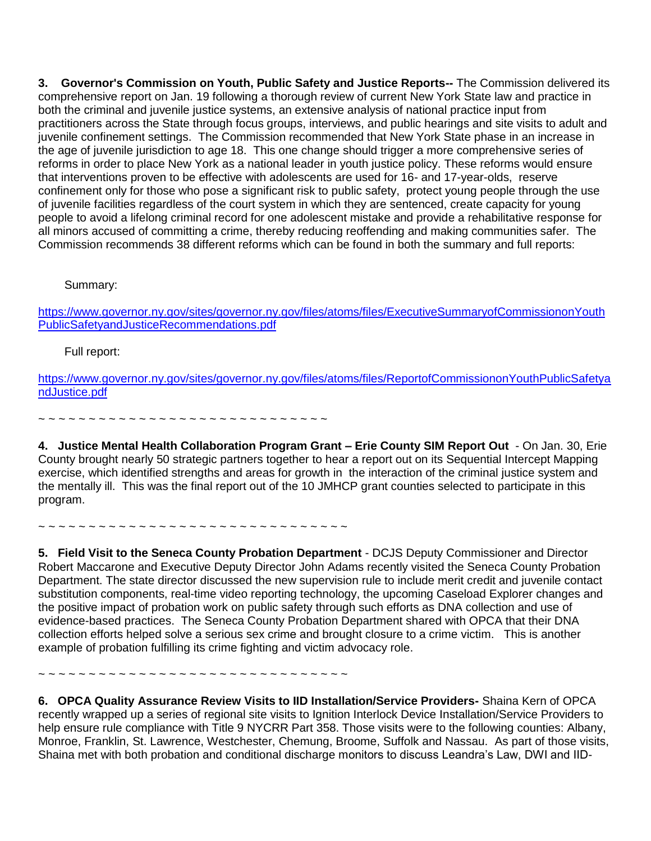**3. Governor's Commission on Youth, Public Safety and Justice Reports--** The Commission delivered its comprehensive report on Jan. 19 following a thorough review of current New York State law and practice in both the criminal and juvenile justice systems, an extensive analysis of national practice input from practitioners across the State through focus groups, interviews, and public hearings and site visits to adult and juvenile confinement settings. The Commission recommended that New York State phase in an increase in the age of juvenile jurisdiction to age 18. This one change should trigger a more comprehensive series of reforms in order to place New York as a national leader in youth justice policy. These reforms would ensure that interventions proven to be effective with adolescents are used for 16- and 17-year-olds, reserve confinement only for those who pose a significant risk to public safety, protect young people through the use of juvenile facilities regardless of the court system in which they are sentenced, create capacity for young people to avoid a lifelong criminal record for one adolescent mistake and provide a rehabilitative response for all minors accused of committing a crime, thereby reducing reoffending and making communities safer. The Commission recommends 38 different reforms which can be found in both the summary and full reports:

Summary:

[https://www.governor.ny.gov/sites/governor.ny.gov/files/atoms/files/ExecutiveSummaryofCommissiononYouth](https://www.governor.ny.gov/sites/governor.ny.gov/files/atoms/files/ExecutiveSummaryofCommissiononYouthPublicSafetyandJusticeRecommendations.pdf) [PublicSafetyandJusticeRecommendations.pdf](https://www.governor.ny.gov/sites/governor.ny.gov/files/atoms/files/ExecutiveSummaryofCommissiononYouthPublicSafetyandJusticeRecommendations.pdf)

Full report:

[https://www.governor.ny.gov/sites/governor.ny.gov/files/atoms/files/ReportofCommissiononYouthPublicSafetya](https://www.governor.ny.gov/sites/governor.ny.gov/files/atoms/files/ReportofCommissiononYouthPublicSafetyandJustice.pdf) [ndJustice.pdf](https://www.governor.ny.gov/sites/governor.ny.gov/files/atoms/files/ReportofCommissiononYouthPublicSafetyandJustice.pdf)

~ ~ ~ ~ ~ ~ ~ ~ ~ ~ ~ ~ ~ ~ ~ ~ ~ ~ ~ ~ ~ ~ ~ ~ ~ ~ ~ ~ ~

**4. Justice Mental Health Collaboration Program Grant – Erie County SIM Report Out** - On Jan. 30, Erie County brought nearly 50 strategic partners together to hear a report out on its Sequential Intercept Mapping exercise, which identified strengths and areas for growth in the interaction of the criminal justice system and the mentally ill. This was the final report out of the 10 JMHCP grant counties selected to participate in this program.

~ ~ ~ ~ ~ ~ ~ ~ ~ ~ ~ ~ ~ ~ ~ ~ ~ ~ ~ ~ ~ ~ ~ ~ ~ ~ ~ ~ ~ ~ ~

**5. Field Visit to the Seneca County Probation Department** - DCJS Deputy Commissioner and Director Robert Maccarone and Executive Deputy Director John Adams recently visited the Seneca County Probation Department. The state director discussed the new supervision rule to include merit credit and juvenile contact substitution components, real-time video reporting technology, the upcoming Caseload Explorer changes and the positive impact of probation work on public safety through such efforts as DNA collection and use of evidence-based practices. The Seneca County Probation Department shared with OPCA that their DNA collection efforts helped solve a serious sex crime and brought closure to a crime victim. This is another example of probation fulfilling its crime fighting and victim advocacy role.

~ ~ ~ ~ ~ ~ ~ ~ ~ ~ ~ ~ ~ ~ ~ ~ ~ ~ ~ ~ ~ ~ ~ ~ ~ ~ ~ ~ ~ ~ ~

**6. OPCA Quality Assurance Review Visits to IID Installation/Service Providers-** Shaina Kern of OPCA recently wrapped up a series of regional site visits to Ignition Interlock Device Installation/Service Providers to help ensure rule compliance with Title 9 NYCRR Part 358. Those visits were to the following counties: Albany, Monroe, Franklin, St. Lawrence, Westchester, Chemung, Broome, Suffolk and Nassau. As part of those visits, Shaina met with both probation and conditional discharge monitors to discuss Leandra's Law, DWI and IID-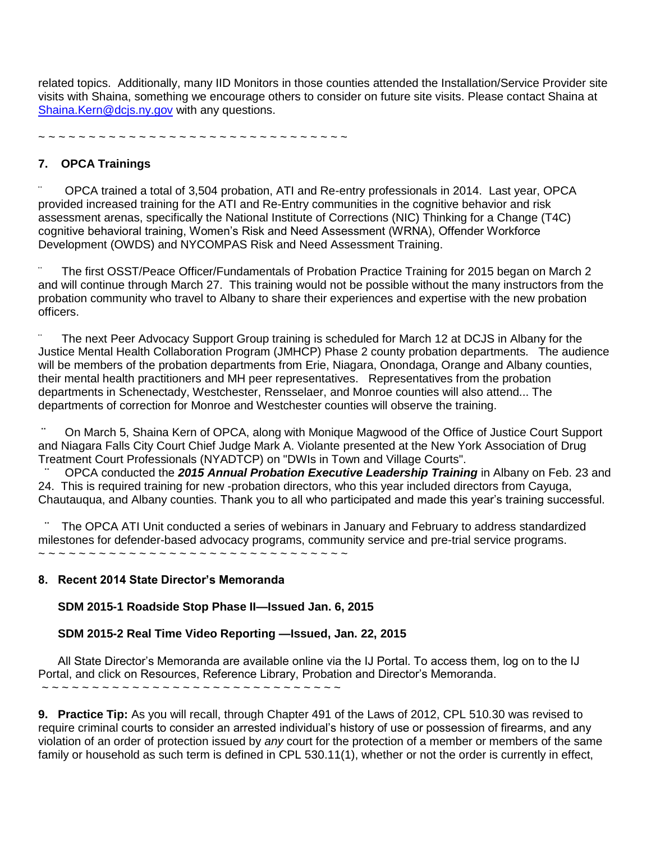related topics. Additionally, many IID Monitors in those counties attended the Installation/Service Provider site visits with Shaina, something we encourage others to consider on future site visits. Please contact Shaina at [Shaina.Kern@dcjs.ny.gov](mailto:Shaina.Kern@dcjs.ny.gov) with any questions.

~ ~ ~ ~ ~ ~ ~ ~ ~ ~ ~ ~ ~ ~ ~ ~ ~ ~ ~ ~ ~ ~ ~ ~ ~ ~ ~ ~ ~ ~ ~

## **7. OPCA Trainings**

OPCA trained a total of 3,504 probation, ATI and Re-entry professionals in 2014. Last year, OPCA provided increased training for the ATI and Re-Entry communities in the cognitive behavior and risk assessment arenas, specifically the National Institute of Corrections (NIC) Thinking for a Change (T4C) cognitive behavioral training, Women's Risk and Need Assessment (WRNA), Offender Workforce Development (OWDS) and NYCOMPAS Risk and Need Assessment Training.

The first OSST/Peace Officer/Fundamentals of Probation Practice Training for 2015 began on March 2 and will continue through March 27. This training would not be possible without the many instructors from the probation community who travel to Albany to share their experiences and expertise with the new probation officers.

The next Peer Advocacy Support Group training is scheduled for March 12 at DCJS in Albany for the Justice Mental Health Collaboration Program (JMHCP) Phase 2 county probation departments. The audience will be members of the probation departments from Erie, Niagara, Onondaga, Orange and Albany counties, their mental health practitioners and MH peer representatives. Representatives from the probation departments in Schenectady, Westchester, Rensselaer, and Monroe counties will also attend... The departments of correction for Monroe and Westchester counties will observe the training.

**¨** On March 5, Shaina Kern of OPCA, along with Monique Magwood of the Office of Justice Court Support and Niagara Falls City Court Chief Judge Mark A. Violante presented at the New York Association of Drug Treatment Court Professionals (NYADTCP) on "DWIs in Town and Village Courts".

**¨** OPCA conducted the *2015 Annual Probation Executive Leadership Training* in Albany on Feb. 23 and 24. This is required training for new -probation directors, who this year included directors from Cayuga, Chautauqua, and Albany counties. Thank you to all who participated and made this year's training successful.

**¨** The OPCA ATI Unit conducted a series of webinars in January and February to address standardized milestones for defender-based advocacy programs, community service and pre-trial service programs. ~ ~ ~ *~ ~ ~ ~ ~ ~ ~ ~ ~ ~ ~ ~ ~ ~ ~ ~ ~ ~ ~ ~ ~ ~ ~ ~ ~ ~ ~ ~*

## **8. Recent 2014 State Director's Memoranda**

 **SDM 2015-1 Roadside Stop Phase II—Issued Jan. 6, 2015**

## **SDM 2015-2 Real Time Video Reporting —Issued, Jan. 22, 2015**

 All State Director's Memoranda are available online via the IJ Portal. To access them, log on to the IJ Portal, and click on Resources, Reference Library, Probation and Director's Memoranda. *~ ~ ~ ~ ~ ~ ~ ~ ~ ~ ~ ~ ~ ~ ~ ~ ~ ~ ~ ~ ~ ~ ~ ~ ~ ~ ~ ~ ~ ~*

**9. Practice Tip:** As you will recall, through Chapter 491 of the Laws of 2012, CPL 510.30 was revised to require criminal courts to consider an arrested individual's history of use or possession of firearms, and any violation of an order of protection issued by *any* court for the protection of a member or members of the same family or household as such term is defined in CPL 530.11(1), whether or not the order is currently in effect,